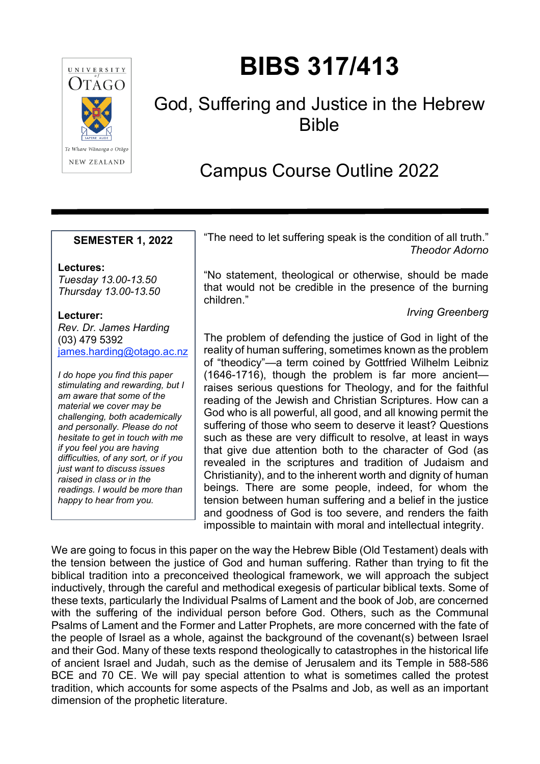

# **BIBS 317/413**

# God, Suffering and Justice in the Hebrew Bible

# Campus Course Outline 2022

#### **SEMESTER 1, 2022**

**Lectures:** *Tuesday 13.00-13.50 Thursday 13.00-13.50*

#### **Lecturer:**

*Rev. Dr. James Harding* (03) 479 5392 [james.harding@otago.ac.nz](mailto:james.harding@otago.ac.nz)

*I do hope you find this paper stimulating and rewarding, but I am aware that some of the material we cover may be challenging, both academically and personally. Please do not hesitate to get in touch with me if you feel you are having difficulties, of any sort, or if you just want to discuss issues raised in class or in the readings. I would be more than happy to hear from you.*

"The need to let suffering speak is the condition of all truth." *Theodor Adorno*

"No statement, theological or otherwise, should be made that would not be credible in the presence of the burning children."

*Irving Greenberg*

The problem of defending the justice of God in light of the reality of human suffering, sometimes known as the problem of "theodicy"—a term coined by Gottfried Wilhelm Leibniz (1646-1716), though the problem is far more ancient raises serious questions for Theology, and for the faithful reading of the Jewish and Christian Scriptures. How can a God who is all powerful, all good, and all knowing permit the suffering of those who seem to deserve it least? Questions such as these are very difficult to resolve, at least in ways that give due attention both to the character of God (as revealed in the scriptures and tradition of Judaism and Christianity), and to the inherent worth and dignity of human beings. There are some people, indeed, for whom the tension between human suffering and a belief in the justice and goodness of God is too severe, and renders the faith impossible to maintain with moral and intellectual integrity.

We are going to focus in this paper on the way the Hebrew Bible (Old Testament) deals with the tension between the justice of God and human suffering. Rather than trying to fit the biblical tradition into a preconceived theological framework, we will approach the subject inductively, through the careful and methodical exegesis of particular biblical texts. Some of these texts, particularly the Individual Psalms of Lament and the book of Job, are concerned with the suffering of the individual person before God. Others, such as the Communal Psalms of Lament and the Former and Latter Prophets, are more concerned with the fate of the people of Israel as a whole, against the background of the covenant(s) between Israel and their God. Many of these texts respond theologically to catastrophes in the historical life of ancient Israel and Judah, such as the demise of Jerusalem and its Temple in 588-586 BCE and 70 CE. We will pay special attention to what is sometimes called the protest tradition, which accounts for some aspects of the Psalms and Job, as well as an important dimension of the prophetic literature.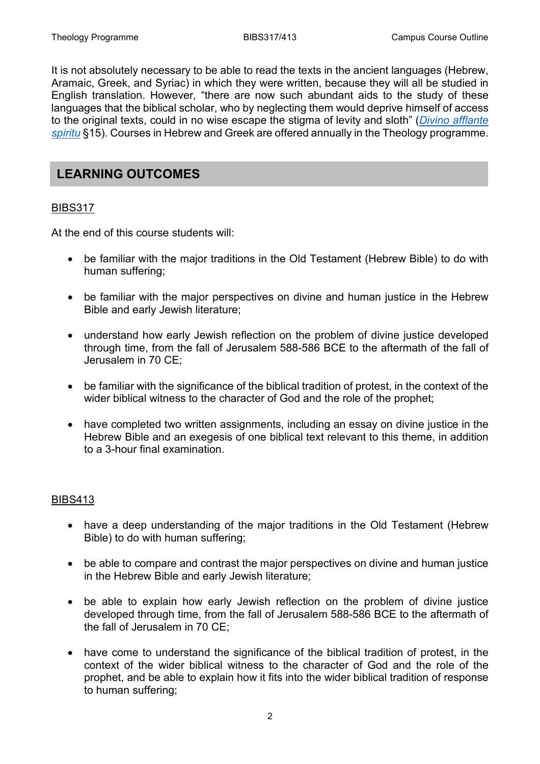It is not absolutely necessary to be able to read the texts in the ancient languages (Hebrew, Aramaic, Greek, and Syriac) in which they were written, because they will all be studied in English translation. However, "there are now such abundant aids to the study of these languages that the biblical scholar, who by neglecting them would deprive himself of access to the original texts, could in no wise escape the stigma of levity and sloth" (*[Divino afflante](http://www.vatican.va/content/pius-xii/en/encyclicals/documents/hf_p-xii_enc_30091943_divino-afflante-spiritu.html)  [spiritu](http://www.vatican.va/content/pius-xii/en/encyclicals/documents/hf_p-xii_enc_30091943_divino-afflante-spiritu.html)* §15). Courses in Hebrew and Greek are offered annually in the Theology programme.

### **LEARNING OUTCOMES**

#### BIBS317

At the end of this course students will:

- be familiar with the major traditions in the Old Testament (Hebrew Bible) to do with human suffering;
- be familiar with the major perspectives on divine and human justice in the Hebrew Bible and early Jewish literature;
- understand how early Jewish reflection on the problem of divine justice developed through time, from the fall of Jerusalem 588-586 BCE to the aftermath of the fall of Jerusalem in 70 CE;
- be familiar with the significance of the biblical tradition of protest, in the context of the wider biblical witness to the character of God and the role of the prophet;
- have completed two written assignments, including an essay on divine justice in the Hebrew Bible and an exegesis of one biblical text relevant to this theme, in addition to a 3-hour final examination.

#### BIBS413

- have a deep understanding of the major traditions in the Old Testament (Hebrew Bible) to do with human suffering;
- be able to compare and contrast the major perspectives on divine and human justice in the Hebrew Bible and early Jewish literature;
- be able to explain how early Jewish reflection on the problem of divine justice developed through time, from the fall of Jerusalem 588-586 BCE to the aftermath of the fall of Jerusalem in 70 CE;
- have come to understand the significance of the biblical tradition of protest, in the context of the wider biblical witness to the character of God and the role of the prophet, and be able to explain how it fits into the wider biblical tradition of response to human suffering;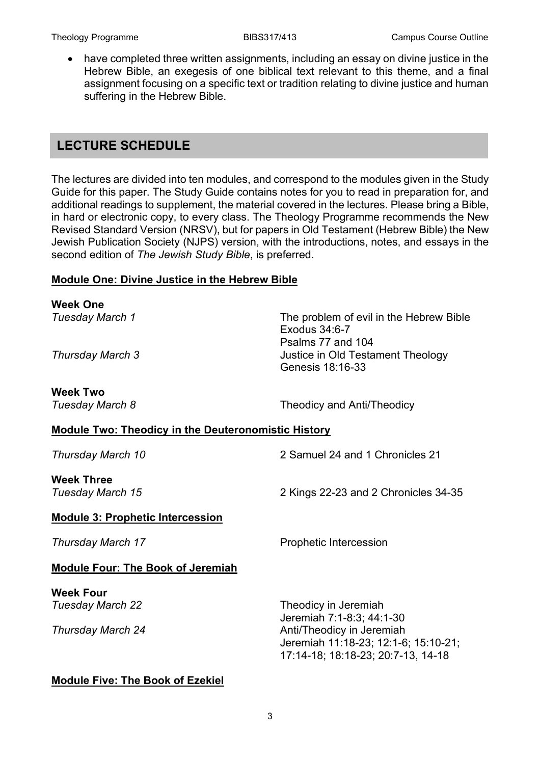• have completed three written assignments, including an essay on divine justice in the Hebrew Bible, an exegesis of one biblical text relevant to this theme, and a final assignment focusing on a specific text or tradition relating to divine justice and human suffering in the Hebrew Bible.

## **LECTURE SCHEDULE**

The lectures are divided into ten modules, and correspond to the modules given in the Study Guide for this paper. The Study Guide contains notes for you to read in preparation for, and additional readings to supplement, the material covered in the lectures. Please bring a Bible, in hard or electronic copy, to every class. The Theology Programme recommends the New Revised Standard Version (NRSV), but for papers in Old Testament (Hebrew Bible) the New Jewish Publication Society (NJPS) version, with the introductions, notes, and essays in the second edition of *The Jewish Study Bible*, is preferred.

#### **Module One: Divine Justice in the Hebrew Bible**

| <b>Week One</b>                                            |                                                                                                         |
|------------------------------------------------------------|---------------------------------------------------------------------------------------------------------|
| Tuesday March 1                                            | The problem of evil in the Hebrew Bible<br>Exodus 34:6-7<br>Psalms 77 and 104                           |
| Thursday March 3                                           | Justice in Old Testament Theology<br>Genesis 18:16-33                                                   |
| <b>Week Two</b>                                            |                                                                                                         |
| Tuesday March 8                                            | Theodicy and Anti/Theodicy                                                                              |
| <b>Module Two: Theodicy in the Deuteronomistic History</b> |                                                                                                         |
| Thursday March 10                                          | 2 Samuel 24 and 1 Chronicles 21                                                                         |
| <b>Week Three</b>                                          |                                                                                                         |
| Tuesday March 15                                           | 2 Kings 22-23 and 2 Chronicles 34-35                                                                    |
| <b>Module 3: Prophetic Intercession</b>                    |                                                                                                         |
| Thursday March 17                                          | <b>Prophetic Intercession</b>                                                                           |
| <b>Module Four: The Book of Jeremiah</b>                   |                                                                                                         |
| <b>Week Four</b>                                           |                                                                                                         |
| <b>Tuesday March 22</b>                                    | Theodicy in Jeremiah                                                                                    |
|                                                            | Jeremiah 7:1-8:3; 44:1-30                                                                               |
| Thursday March 24                                          | Anti/Theodicy in Jeremiah<br>Jeremiah 11:18-23; 12:1-6; 15:10-21;<br>17:14-18; 18:18-23; 20:7-13, 14-18 |
| <b>Module Five: The Book of Ezekiel</b>                    |                                                                                                         |

#### 3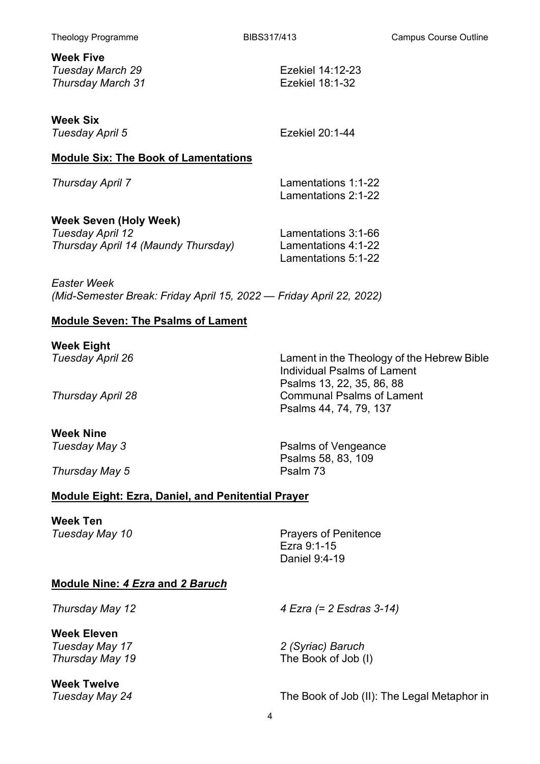**Week Five** *Tuesday March 29* Ezekiel 14:12-23<br>
Thursday March 31 **Exekiel 18:1-32 Thursday March 31** 

**Week Six**

**Tuesday April 5** Ezekiel 20:1-44

#### **Module Six: The Book of Lamentations**

*Thursday April 7* Lamentations 1:1-22 Lamentations 2:1-22

| Week Seven (Holy Week)              |                     |
|-------------------------------------|---------------------|
| Tuesday April 12                    | Lamentations 3:1-66 |
| Thursday April 14 (Maundy Thursday) | Lamentations 4:1-22 |
|                                     | Lamentations 5:1-22 |

*Easter Week (Mid-Semester Break: Friday April 15, 2022 — Friday April 22, 2022)*

#### **Module Seven: The Psalms of Lament**

**Week Eight**<br>Tuesday April 26

# **Week Nine**<br>Tuesday May 3

**Thursday May 5** Psalm 73

Lament in the Theology of the Hebrew Bible Individual Psalms of Lament Psalms 13, 22, 35, 86, 88 **Thursday April 28** Communal Psalms of Lament Psalms 44, 74, 79, 137

> **Psalms of Vengeance** Psalms 58, 83, 109

#### **Module Eight: Ezra, Daniel, and Penitential Prayer**

**Week Ten**<br>Tuesday May 10

**Prayers of Penitence** Ezra 9:1-15 Daniel 9:4-19

#### **Module Nine:** *4 Ezra* **and** *2 Baruch*

**Week Eleven**

**Week Twelve**

*Thursday May 12 4 Ezra (= 2 Esdras 3-14)*

*Tuesday May 17 2 (Syriac) Baruch Thursday May 19* The Book of Job (I)

*Tuesday May 24* The Book of Job (II): The Legal Metaphor in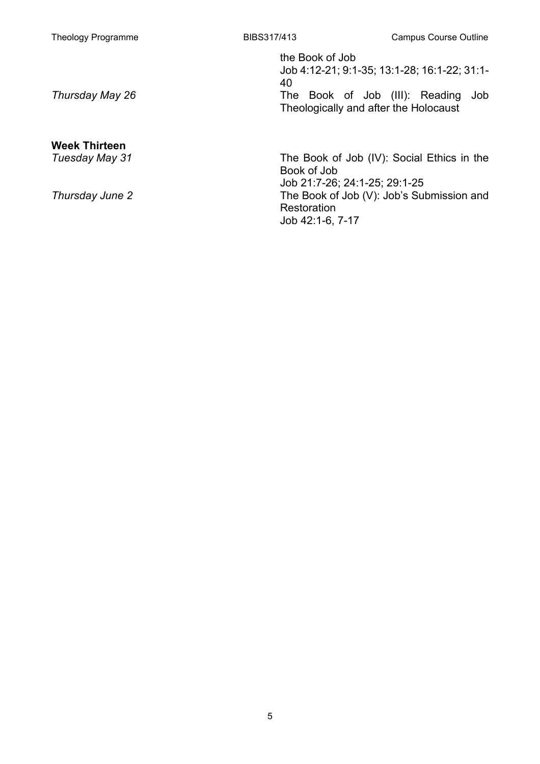# **Week Thirteen**

the Book of Job

Job 4:12-21; 9:1-35; 13:1-28; 16:1-22; 31:1- 40

*Thursday May 26* The Book of Job (III): Reading Job Theologically and after the Holocaust

The Book of Job (IV): Social Ethics in the Book of Job Job 21:7-26; 24:1-25; 29:1-25 *Thursday June 2* The Book of Job (V): Job's Submission and **Restoration** Job 42:1-6, 7-17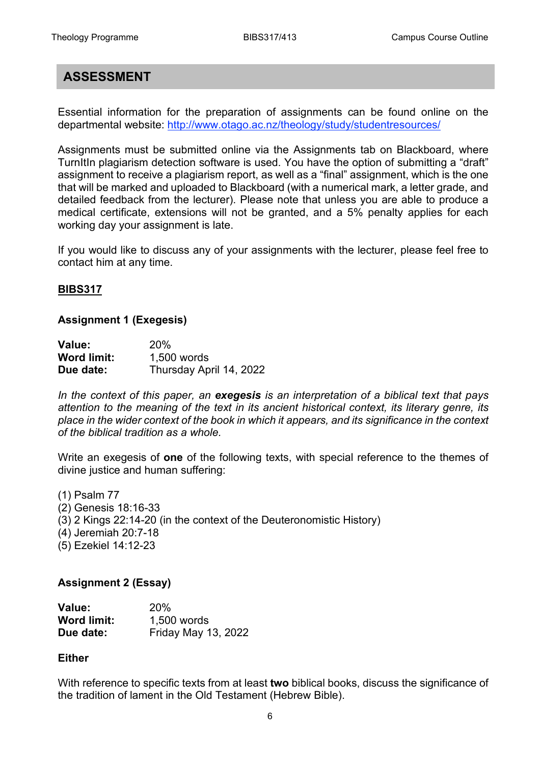# **ASSESSMENT**

Essential information for the preparation of assignments can be found online on the departmental website: <http://www.otago.ac.nz/theology/study/studentresources/>

Assignments must be submitted online via the Assignments tab on Blackboard, where TurnItIn plagiarism detection software is used. You have the option of submitting a "draft" assignment to receive a plagiarism report, as well as a "final" assignment, which is the one that will be marked and uploaded to Blackboard (with a numerical mark, a letter grade, and detailed feedback from the lecturer). Please note that unless you are able to produce a medical certificate, extensions will not be granted, and a 5% penalty applies for each working day your assignment is late.

If you would like to discuss any of your assignments with the lecturer, please feel free to contact him at any time.

#### **BIBS317**

#### **Assignment 1 (Exegesis)**

| Value:             | 20%                     |
|--------------------|-------------------------|
| <b>Word limit:</b> | 1,500 words             |
| Due date:          | Thursday April 14, 2022 |

*In the context of this paper, an exegesis is an interpretation of a biblical text that pays attention to the meaning of the text in its ancient historical context, its literary genre, its place in the wider context of the book in which it appears, and its significance in the context of the biblical tradition as a whole.*

Write an exegesis of **one** of the following texts, with special reference to the themes of divine justice and human suffering:

(1) Psalm 77 (2) Genesis 18:16-33 (3) 2 Kings 22:14-20 (in the context of the Deuteronomistic History) (4) Jeremiah 20:7-18 (5) Ezekiel 14:12-23

#### **Assignment 2 (Essay)**

| Value:             | 20%                        |
|--------------------|----------------------------|
| <b>Word limit:</b> | 1,500 words                |
| Due date:          | <b>Friday May 13, 2022</b> |

#### **Either**

With reference to specific texts from at least **two** biblical books, discuss the significance of the tradition of lament in the Old Testament (Hebrew Bible).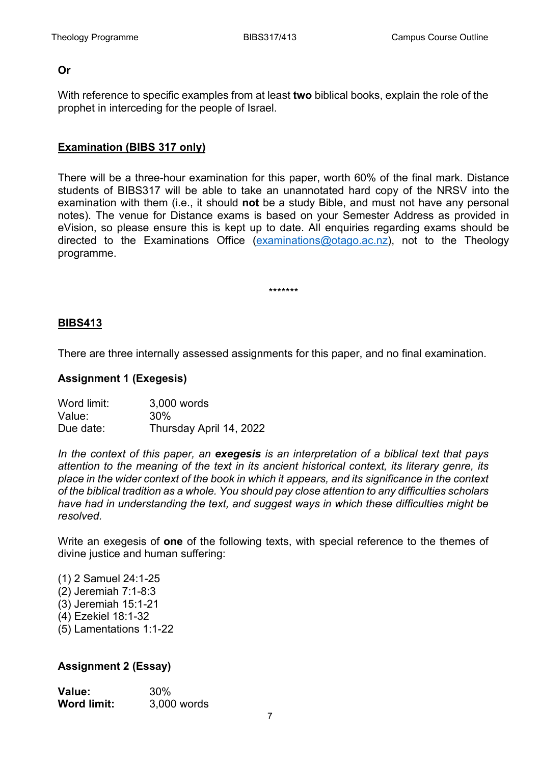#### **Or**

With reference to specific examples from at least **two** biblical books, explain the role of the prophet in interceding for the people of Israel.

#### **Examination (BIBS 317 only)**

There will be a three-hour examination for this paper, worth 60% of the final mark. Distance students of BIBS317 will be able to take an unannotated hard copy of the NRSV into the examination with them (i.e., it should **not** be a study Bible, and must not have any personal notes). The venue for Distance exams is based on your Semester Address as provided in eVision, so please ensure this is kept up to date. All enquiries regarding exams should be directed to the Examinations Office [\(examinations@otago.ac.nz\)](mailto:examinations@otago.ac.nz)), not to the Theology programme.

\*\*\*\*\*\*\*

#### **BIBS413**

There are three internally assessed assignments for this paper, and no final examination.

#### **Assignment 1 (Exegesis)**

| Word limit: | 3,000 words             |
|-------------|-------------------------|
| Value:      | 30%                     |
| Due date:   | Thursday April 14, 2022 |

*In the context of this paper, an exegesis is an interpretation of a biblical text that pays attention to the meaning of the text in its ancient historical context, its literary genre, its place in the wider context of the book in which it appears, and its significance in the context of the biblical tradition as a whole. You should pay close attention to any difficulties scholars have had in understanding the text, and suggest ways in which these difficulties might be resolved.*

Write an exegesis of **one** of the following texts, with special reference to the themes of divine justice and human suffering:

(1) 2 Samuel 24:1-25 (2) Jeremiah 7:1-8:3 (3) Jeremiah 15:1-21 (4) Ezekiel 18:1-32 (5) Lamentations 1:1-22

#### **Assignment 2 (Essay)**

| Value:      | 30%         |
|-------------|-------------|
| Word limit: | 3,000 words |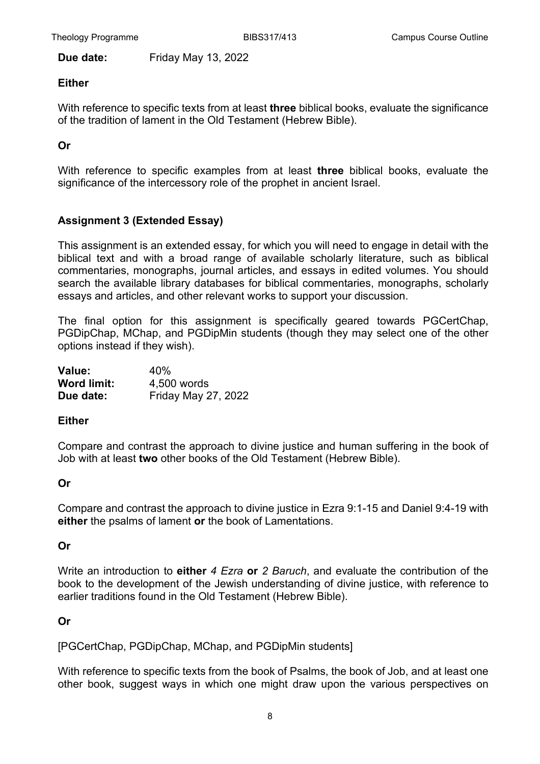**Due date:** Friday May 13, 2022

#### **Either**

With reference to specific texts from at least **three** biblical books, evaluate the significance of the tradition of lament in the Old Testament (Hebrew Bible).

#### **Or**

With reference to specific examples from at least **three** biblical books, evaluate the significance of the intercessory role of the prophet in ancient Israel.

#### **Assignment 3 (Extended Essay)**

This assignment is an extended essay, for which you will need to engage in detail with the biblical text and with a broad range of available scholarly literature, such as biblical commentaries, monographs, journal articles, and essays in edited volumes. You should search the available library databases for biblical commentaries, monographs, scholarly essays and articles, and other relevant works to support your discussion.

The final option for this assignment is specifically geared towards PGCertChap, PGDipChap, MChap, and PGDipMin students (though they may select one of the other options instead if they wish).

| Value:             | 40%                        |
|--------------------|----------------------------|
| <b>Word limit:</b> | 4,500 words                |
| Due date:          | <b>Friday May 27, 2022</b> |

#### **Either**

Compare and contrast the approach to divine justice and human suffering in the book of Job with at least **two** other books of the Old Testament (Hebrew Bible).

#### **Or**

Compare and contrast the approach to divine justice in Ezra 9:1-15 and Daniel 9:4-19 with **either** the psalms of lament **or** the book of Lamentations.

#### **Or**

Write an introduction to **either** *4 Ezra* **or** *2 Baruch*, and evaluate the contribution of the book to the development of the Jewish understanding of divine justice, with reference to earlier traditions found in the Old Testament (Hebrew Bible).

#### **Or**

[PGCertChap, PGDipChap, MChap, and PGDipMin students]

With reference to specific texts from the book of Psalms, the book of Job, and at least one other book, suggest ways in which one might draw upon the various perspectives on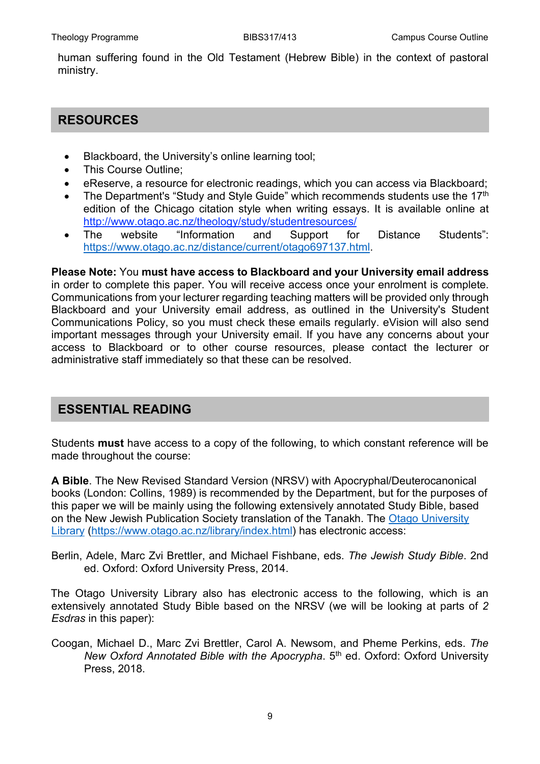human suffering found in the Old Testament (Hebrew Bible) in the context of pastoral ministry.

## **RESOURCES**

- Blackboard, the University's online learning tool;
- This Course Outline;
- eReserve, a resource for electronic readings, which you can access via Blackboard;
- The Department's "Study and Style Guide" which recommends students use the 17<sup>th</sup> edition of the Chicago citation style when writing essays. It is available online at <http://www.otago.ac.nz/theology/study/studentresources/>
- The website "Information and Support for Distance Students": [https://www.otago.ac.nz/distance/current/otago697137.html.](https://www.otago.ac.nz/distance/current/otago697137.html)

**Please Note:** You **must have access to Blackboard and your University email address** in order to complete this paper. You will receive access once your enrolment is complete. Communications from your lecturer regarding teaching matters will be provided only through Blackboard and your University email address, as outlined in the University's Student Communications Policy, so you must check these emails regularly. eVision will also send important messages through your University email. If you have any concerns about your access to Blackboard or to other course resources, please contact the lecturer or administrative staff immediately so that these can be resolved.

# **ESSENTIAL READING**

Students **must** have access to a copy of the following, to which constant reference will be made throughout the course:

**A Bible**. The New Revised Standard Version (NRSV) with Apocryphal/Deuterocanonical books (London: Collins, 1989) is recommended by the Department, but for the purposes of this paper we will be mainly using the following extensively annotated Study Bible, based on the New Jewish Publication Society translation of the Tanakh. The [Otago University](https://www.otago.ac.nz/library/index.html)  [Library](https://www.otago.ac.nz/library/index.html) [\(https://www.otago.ac.nz/library/index.html\)](https://www.otago.ac.nz/library/index.html) has electronic access:

Berlin, Adele, Marc Zvi Brettler, and Michael Fishbane, eds. *The Jewish Study Bible*. 2nd ed. Oxford: Oxford University Press, 2014.

The Otago University Library also has electronic access to the following, which is an extensively annotated Study Bible based on the NRSV (we will be looking at parts of *2 Esdras* in this paper):

Coogan, Michael D., Marc Zvi Brettler, Carol A. Newsom, and Pheme Perkins, eds. *The New Oxford Annotated Bible with the Apocrypha*. 5th ed. Oxford: Oxford University Press, 2018.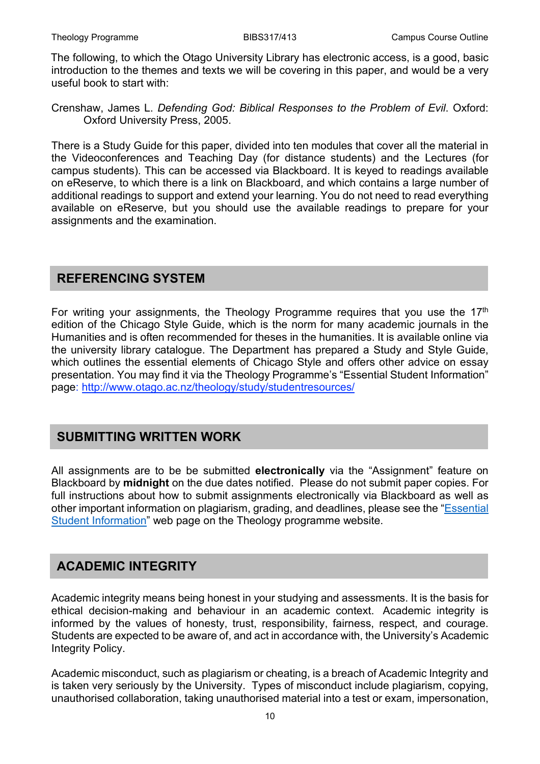The following, to which the Otago University Library has electronic access, is a good, basic introduction to the themes and texts we will be covering in this paper, and would be a very useful book to start with:

Crenshaw, James L. *Defending God: Biblical Responses to the Problem of Evil*. Oxford: Oxford University Press, 2005.

There is a Study Guide for this paper, divided into ten modules that cover all the material in the Videoconferences and Teaching Day (for distance students) and the Lectures (for campus students). This can be accessed via Blackboard. It is keyed to readings available on eReserve, to which there is a link on Blackboard, and which contains a large number of additional readings to support and extend your learning. You do not need to read everything available on eReserve, but you should use the available readings to prepare for your assignments and the examination.

### **REFERENCING SYSTEM**

For writing your assignments, the Theology Programme requires that you use the  $17<sup>th</sup>$ edition of the Chicago Style Guide, which is the norm for many academic journals in the Humanities and is often recommended for theses in the humanities. It is available online via the university library catalogue. The Department has prepared a Study and Style Guide, which outlines the essential elements of Chicago Style and offers other advice on essay presentation. You may find it via the Theology Programme's "Essential Student Information" page:<http://www.otago.ac.nz/theology/study/studentresources/>

### **SUBMITTING WRITTEN WORK**

All assignments are to be be submitted **electronically** via the "Assignment" feature on Blackboard by **midnight** on the due dates notified. Please do not submit paper copies. For full instructions about how to submit assignments electronically via Blackboard as well as other important information on plagiarism, grading, and deadlines, please see the ["Essential](https://www.otago.ac.nz/theology/study/studentresources/)  [Student Information"](https://www.otago.ac.nz/theology/study/studentresources/) web page on the Theology programme website.

# **ACADEMIC INTEGRITY**

Academic integrity means being honest in your studying and assessments. It is the basis for ethical decision-making and behaviour in an academic context. Academic integrity is informed by the values of honesty, trust, responsibility, fairness, respect, and courage. Students are expected to be aware of, and act in accordance with, the University's Academic Integrity Policy.

Academic misconduct, such as plagiarism or cheating, is a breach of Academic Integrity and is taken very seriously by the University. Types of misconduct include plagiarism, copying, unauthorised collaboration, taking unauthorised material into a test or exam, impersonation,